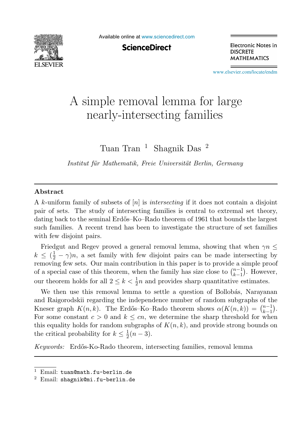

Available online at [www.sciencedirect.com](http://www.sciencedirect.com)

**ScienceDirect** 

**Electronic Notes in DISCRETE MATHEMATICS** 

[www.elsevier.com/locate/endm](http://www.elsevier.com/locate/endm)

# A simple removal lemma for large<br>nearly-intersecting families nearly-intersecting families

Tuan Tran <sup>1</sup> Shagnik Das<sup>2</sup>

Institut für Mathematik, Freie Universität Berlin, Germany

#### **Abstract**

A k-uniform family of subsets of  $[n]$  is *intersecting* if it does not contain a disjoint pair of sets. The study of intersecting families is central to extremal set theory, dating back to the seminal Erdős–Ko–Rado theorem of 1961 that bounds the largest such families. A recent trend has been to investigate the structure of set families with few disjoint pairs.

Friedgut and Regev proved a general removal lemma, showing that when  $\gamma n \leq$  $k \leq (\frac{1}{2} - \gamma)n$ , a set family with few disjoint pairs can be made intersecting by removing few sets. Our main contribution in this paper is to provide a simple proof removing few sets. Our main contribution in this paper is to provide a simple proof of a special case of this theorem, when the family has size close to  $\binom{n-1}{k-1}$ . However, our theorem holds for all  $2 \le k < \frac{1}{2}n$  and provides sharp quantitative estimates.

We then use this removal lemma to settle a question of Bollobás, Narayanan and Raigorodskii regarding the independence number of random subgraphs of the Kneser graph  $K(n,k)$ . The Erdős–Ko–Rado theorem shows  $\alpha(K(n,k)) = \binom{n-1}{k-1}$ . For some constant  $c > 0$  and  $k \leq cn$ , we determine the sharp threshold for when this equality holds for random subgraphs of  $K(n, k)$ , and provide strong bounds on the critical probability for  $k \leq \frac{1}{2}(n-3)$ .

Keywords: Erdős-Ko-Rado theorem, intersecting families, removal lemma

<sup>&</sup>lt;sup>1</sup> Email: tuan@math.fu-berlin.de<br><sup>2</sup> Email: shagnik@mi.fu-berlin.de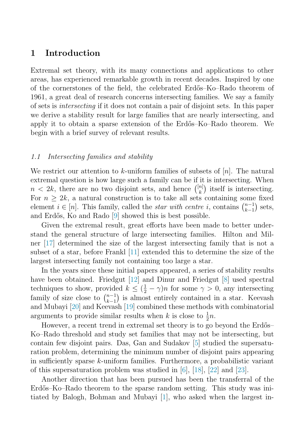## **1 Introduction**

Extremal set theory, with its many connections and applications to other areas, has experienced remarkable growth in recent decades. Inspired by one of the cornerstones of the field, the celebrated Erdős–Ko–Rado theorem of 1961, a great deal of research concerns intersecting families. We say a family of sets is intersecting if it does not contain a pair of disjoint sets. In this paper we derive a stability result for large families that are nearly intersecting, and apply it to obtain a sparse extension of the Erd˝os–Ko–Rado theorem. We begin with a brief survey of relevant results.

#### 1.1 Intersecting families and stability

We restrict our attention to k-uniform families of subsets of  $[n]$ . The natural extremal question is how large such a family can be if it is intersecting. When  $n < 2k$ , there are no two disjoint sets, and hence  $\binom{[n]}{k}$  itself is intersecting.<br>For  $n > 2k$ , a natural construction is to take all sets containing some fixed For  $n \geq 2k$ , a natural construction is to take all sets containing some fixed element  $i \in [n]$ . This family, called the *star with centre i*, contains  $\binom{n-1}{k-1}$ <br>and Erdős. Ko and Bado [9] showed this is best possible  $_{k-1}^{n-1}$  sets, and Erdős, Ko and Rado [\[9\]](#page-5-0) showed this is best possible.

Given the extremal result, great efforts have been made to better understand the general structure of large intersecting families. Hilton and Milner [\[17\]](#page-6-0) determined the size of the largest intersecting family that is not a subset of a star, before Frankl [\[11\]](#page-6-0) extended this to determine the size of the largest intersecting family not containing too large a star.

In the years since these initial papers appeared, a series of stability results have been obtained. Friedgut [\[12\]](#page-6-0) and Dinur and Friedgut [\[8\]](#page-5-0) used spectral techniques to show, provided  $k \leq (\frac{1}{2} - \gamma)n$  for some  $\gamma > 0$ , any intersecting<br>family of size along to  $\binom{n-1}{k}$  is almost entirely contained in a star. Keepsh family of size close to  $\binom{n-1}{k-1}$  ${k-1 \choose k-1}$  is almost entirely contained in a star. Keevash<br>wash [10] combined these methods with combinatorial and Mubayi [\[20\]](#page-6-0) and Keevash [\[19\]](#page-6-0) combined these methods with combinatorial arguments to provide similar results when k is close to  $\frac{1}{2}n$ .<br>However, a recent trend in extremal set theory is to go

However, a recent trend in extremal set theory is to go beyond the Erdős– Ko–Rado threshold and study set families that may not be intersecting, but contain few disjoint pairs. Das, Gan and Sudakov [\[5\]](#page-5-0) studied the supersaturation problem, determining the minimum number of disjoint pairs appearing in sufficiently sparse k-uniform families. Furthermore, a probabilistic variant of this supersaturation problem was studied in [\[6\]](#page-5-0), [\[18\]](#page-6-0), [\[22\]](#page-6-0) and [\[23\]](#page-6-0).

Another direction that has been pursued has been the transferral of the Erdős–Ko–Rado theorem to the sparse random setting. This study was initiated by Balogh, Bohman and Mubayi [\[1\]](#page-5-0), who asked when the largest in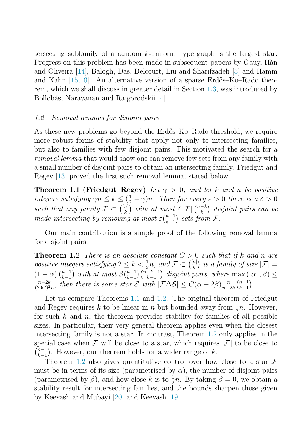<span id="page-2-0"></span>tersecting subfamily of a random  $k$ -uniform hypergraph is the largest star. Progress on this problem has been made in subsequent papers by Gauy, Hàn and Oliveira [\[14\]](#page-6-0), Balogh, Das, Delcourt, Liu and Sharifzadeh [\[3\]](#page-5-0) and Hamm and Kahn  $[15,16]$ . An alternative version of a sparse Erdős–Ko–Rado theorem, which we shall discuss in greater detail in Section [1.3,](#page-3-0) was introduced by Bollobás, Narayanan and Raigorodskii [\[4\]](#page-5-0).

#### 1.2 Removal lemmas for disjoint pairs

As these new problems go beyond the Erdős–Ko–Rado threshold, we require more robust forms of stability that apply not only to intersecting families, but also to families with few disjoint pairs. This motivated the search for a removal lemma that would show one can remove few sets from any family with a small number of disjoint pairs to obtain an intersecting family. Friedgut and Regev [\[13\]](#page-6-0) proved the first such removal lemma, stated below.

**Theorem 1.1 (Friedgut–Regev)** Let  $\gamma > 0$ , and let k and n be positive integers satisfying  $\gamma n \leq k \leq (\frac{1}{2} - \gamma)n$ . Then for every  $\varepsilon > 0$  there is a  $\delta > 0$ <br>guab that any family  $\mathcal{F} \subset \binom{[n]}{k}$  with at most  $\delta |\mathcal{F}|^{(n-k)}$  discontinuing can be such that any family  $\mathcal{F} \subset \binom{[n]}{k}$  with at most  $\delta |\mathcal{F}| \binom{n-k}{k}$  disjoint pairs can be<br>made intersecting by removing at most  $\epsilon^{(n-1)}$  acts from  $\mathcal{F}$ made intersecting by removing at most  $\varepsilon {n-1 \choose k-1}$  $_{k-1}^{n-1}$  sets from F.

Our main contribution is a simple proof of the following removal lemma for disjoint pairs.

**Theorem 1.2** There is an absolute constant  $C > 0$  such that if k and n are nositive integers satisfying  $2 \le k \le \frac{1}{2}n$  and  $\mathcal{F} \subset \binom{[n]}{k}$  is a family of size  $|\mathcal{F}|$ positive integers satisfying  $2 \leq k < \frac{1}{2}n$ , and  $\mathcal{F} \subset \binom{[n]}{k}$  is a family of size  $|\mathcal{F}| =$ <br>(1, (a)  $\binom{n-1}{k}$  with at most  $\frac{\beta}{n-1} \binom{n-k-1}{n-k-1}$  discontinguing where  $\max_{n \geq 1} \binom{|\alpha|}{n} \leq$  $\left(1-\alpha\right)\binom{n-1}{k-1}$  $\binom{n-1}{k-1}$  with at most  $\beta \binom{n-1}{k-1}$  $\binom{n-1}{k-1}\binom{n-k-1}{k-1}$  $(1 - \alpha) \binom{n-1}{k-1}$  with at most  $\beta \binom{n-1}{k-1} \binom{n-k-1}{k-1}$  disjoint pairs, where  $\max(|\alpha|, \beta) \leq \frac{n-2k}{20C(2n)}$ , then there is some star S with  $|\mathcal{F}\Delta S| \leq C(\alpha + 2\beta) \frac{n}{n-2k} \binom{n-1}{k-1}$ .  $\frac{n-2k}{(20C)^2n}$ , then there is some star S with  $|\mathcal{F}\Delta S| \leq C(\alpha+2\beta)\frac{n}{n-2k} {n-1 \choose k-1}$  $\binom{n-1}{k-1}$ .

Let us compare Theorems 1.1 and 1.2. The original theorem of Friedgut and Regev requires k to be linear in n but bounded away from  $\frac{1}{2}n$ . However, for such k and n the theorem provides stability for families of all possible for such  $k$  and  $n$ , the theorem provides stability for families of all possible sizes. In particular, their very general theorem applies even when the closest intersecting family is not a star. In contrast, Theorem 1.2 only applies in the special case when  $\mathcal F$  will be close to a star, which requires  $|\mathcal F|$  to be close to  $\binom{n-1}{k-1}$  $\sum_{k=1}^{n-1}$ . However, our theorem holds for a wider range of k.<br>Theorem 1.2 also gives quantitative control over how.

Theorem 1.2 also gives quantitative control over how close to a star  $\mathcal F$ must be in terms of its size (parametrised by  $\alpha$ ), the number of disjoint pairs (parametrised by  $\beta$ ), and how close k is to  $\frac{1}{2}n$ . By taking  $\beta = 0$ , we obtain a stability result for intersecting families, and the bounds sharpen those given stability result for intersecting families, and the bounds sharpen those given by Keevash and Mubayi [\[20\]](#page-6-0) and Keevash [\[19\]](#page-6-0).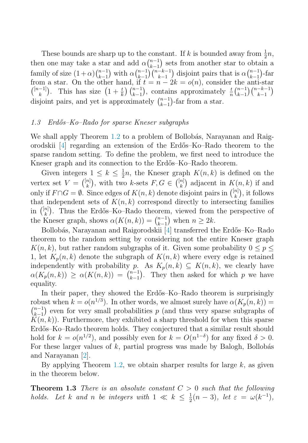<span id="page-3-0"></span>These bounds are sharp up to the constant. If k is bounded away from  $\frac{1}{2}n$ ,<br>n one may take a star and add  $\alpha^{(n-1)}$  sets from another star to obtain a then one may take a star and add  $\alpha \binom{n-1}{k-1}$ <br>family of size  $(1+\alpha) \binom{n-1}{k}$  with  $\alpha \binom{n-1}{k} \binom{n-1}{k}$  $\binom{n-1}{k-1}$  sets from another star to obtain a<br>  $\binom{n-k-1}{k}$  disjoint point that is  $\alpha \binom{n-1}{k}$  for family of size  $(1+\alpha) {n-1 \choose k-1}$ <br>from a star. On the other  $\binom{n-1}{k-1}$  with  $\alpha \binom{n-1}{k-1}$ <br>other hand if *t*  $\binom{n-1}{k-1}$  $\binom{n-k-1}{k-1}$ <br>f  $t = n - 2$  $\binom{-k-1}{k-1}$  disjoint pairs that is  $\alpha \binom{n-1}{k-1}$ <br> $\alpha - 2k = o(n)$  consider the antin−1)-far<br>∟nti-star from a star. On the other hand, if  $t = n - 2k = o(n)$ , consider the anti-star  $\binom{[n-1]}{k}$ . This has size  $\left(1 + \frac{t}{k}\right) \binom{n-1}{k-1}$ , contains approximately  $\frac{t}{n} \binom{n-1}{k-1} \binom{n-k-1}{k-1}$  $\binom{n-1}{k-1}$ , contains approximately  $\frac{t}{n} \binom{n-1}{k-1}$  $_{k-1}^{n-1}$  $\binom{n-k-1}{k-1}$  $\binom{-k-1}{k-1}$ disjoint pairs, and yet is approximately  $\binom{n-1}{k-1}$  $_{k-1}^{n-1}$ )-far from a star.

#### 1.3 Erd˝os–Ko–Rado for sparse Kneser subgraphs

We shall apply Theorem [1.2](#page-2-0) to a problem of Bollobás, Narayanan and Raigorodskii [\[4\]](#page-5-0) regarding an extension of the Erd˝os–Ko–Rado theorem to the sparse random setting. To define the problem, we first need to introduce the Kneser graph and its connection to the Erdős–Ko–Rado theorem.

Given integers  $1 \leq k \leq \frac{1}{2}n$ , the Kneser graph  $K(n, k)$  is defined on the case  $K(n, k)$  is defined on the case  $K(n, k)$  if and vertex set  $V = \binom{[n]}{k}$ , with two k-sets  $F, G \in \binom{[n]}{k}$  adjacent in  $K(n, k)$  if and<br>column if  $F \circ G = \emptyset$ . Since edges of  $K(n, k)$  denote disjoint pairs in  $\binom{[n]}{k}$  it follows only if  $F \cap G = \emptyset$ . Since edges of  $K(n, k)$  denote disjoint pairs in  $\binom{[n]}{k}$ , it follows that independent sets of  $K(n, k)$  correspond directly to intersecting families that independent sets of  $K(n, k)$  correspond directly to intersecting families in  $\binom{[n]}{k}$ . Thus the Erdős–Ko–Rado theorem, viewed from the perspective of the Kneser graph, shows  $\alpha(K(n,k)) = \binom{n-1}{k-1}$  when  $n \geq 2k$ .<br>Bellobés Narayanan and Baisorodskii [4] transformed the

Bollobás, Narayanan and Raigorodskii [\[4\]](#page-5-0) transferred the Erdős–Ko–Rado theorem to the random setting by considering not the entire Kneser graph  $K(n, k)$ , but rather random subgraphs of it. Given some probability  $0 \leq p \leq k$ 1, let  $K_p(n, k)$  denote the subgraph of  $K(n, k)$  where every edge is retained independently with probability p. As  $K_p(n, k) \subseteq K(n, k)$ , we clearly have  $\alpha(K(n, k)) \geq \alpha(K(n, k)) - {n-1 \choose n}$ . They then asked for which n we have  $\alpha(K_p(n,k)) \geq \alpha(K(n,k)) = {n-1 \choose k-1}$  $_{k-1}^{n-1}$ ). They then asked for which p we have equality.

In their paper, they showed the Erdős–Ko–Rado theorem is surprisingly robust when  $k = o(n^{1/3})$ . In other words, we almost surely have  $\alpha(K_p(n, k)) =$  $\binom{n-1}{k-1}$  even for very small probabilities p (and thus very sparse subgraphs of  $K(n-k)$ ). Furthermore, they exhibited a sharp threshold for when this sparse  $K(n, k)$ ). Furthermore, they exhibited a sharp threshold for when this sparse<br>Erdős–Ko–Bado theorem holds. They conjectured that a similar result should Erdős–Ko–Rado theorem holds. They conjectured that a similar result should hold for  $k = o(n^{1/2})$ , and possibly even for  $k = O(n^{1-\delta})$  for any fixed  $\delta > 0$ . For these larger values of  $k$ , partial progress was made by Balogh, Bollobás and Narayanan [\[2\]](#page-5-0).

By applying Theorem [1.2,](#page-2-0) we obtain sharper results for large  $k$ , as given in the theorem below.

**Theorem 1.3** There is an absolute constant  $C > 0$  such that the following holds. Let k and n be integers with  $1 \ll k \leq \frac{1}{2}(n-3)$ , let  $\varepsilon = \omega(k^{-1})$ ,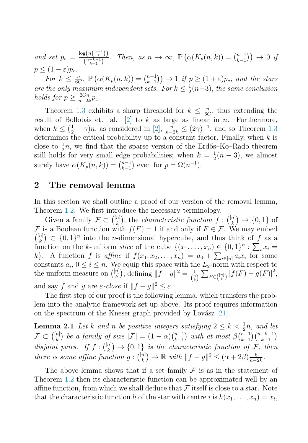and set  $p_c = \frac{\log(nbinom{n-1}{k})}{\binom{n-k-1}{k-1}}$  $\frac{\operatorname{sg}(n_{k})}{\binom{n-k-1}{k-1}}$ . Then, as  $n \to \infty$ ,  $\mathbb{P}\left(\alpha(K_p(n,k))\right) = \binom{n-1}{k-1}$  $\binom{n-1}{k-1}$   $\rightarrow$  0 if  $p < (1 - \varepsilon)p_c.$ 

For  $k \leq \frac{n}{6C}$ ,  $\mathbb{P}\left(\alpha(K_p(n,k)) = \binom{n-1}{k-1}\right) \to 1$  if  $p \geq (1+\varepsilon)p_c$ , and the stars<br>the only maximum independent sets. For  $k \leq \frac{1}{2}$  (n, 3), the same conclusion are the only maximum independent sets. For  $k \leq \frac{1}{2}(n-3)$ , the same conclusion<br>holds for  $n > \frac{2Cn}{2}n$ holds for  $p \geq \frac{2Cn}{n-2k}p_c$ .

Theorem [1.3](#page-3-0) exhibits a sharp threshold for  $k \leq \frac{n}{6C}$ , thus extending the lit of Bollobás et al. [2] to k as large as linear in n. Furthermore result of Bollobás et. al.  $[2]$  to k as large as linear in n. Furthermore, when  $k \leq (\frac{1}{2} - \gamma)n$ , as considered in [\[2\]](#page-5-0),  $\frac{n}{n-2k} \leq (2\gamma)^{-1}$ , and so Theorem [1.3](#page-3-0)<br>determines the critical probability up to a constant factor. Finally when k is determines the critical probability up to a constant factor. Finally, when  $k$  is close to  $\frac{1}{2}n$ , we find that the sparse version of the Erdős–Ko–Rado theorem<br>still holds for very small edge probabilities; when  $k = \frac{1}{2}(n-3)$  we almost still holds for very small edge probabilities; when  $k = \frac{1}{2}(n-3)$ , we almost surely have  $\alpha(K(n-k)) - \binom{n-1}{2}$  aven for  $n - \Omega(n-1)$ surely have  $\alpha(K_p(n,k)) = \binom{n-1}{k-1}$  $_{k-1}^{n-1}$  even for  $p = \Omega(n^{-1})$ .

### **2 The removal lemma**

In this section we shall outline a proof of our version of the removal lemma, Theorem [1.2.](#page-2-0) We first introduce the necessary terminology.

Given a family  $\mathcal{F} \subset \binom{[n]}{k}$ , the *characteristic function*  $f: \binom{[n]}{k} \to \{0, 1\}$  of s a Boolean function with  $f(F) = 1$  if and only if  $F \in \mathcal{F}$ . We may embed F is a Boolean function with  $f(F) = 1$  if and only if  $F \in \mathcal{F}$ . We may embed  $\binom{[n]}{k} \subset \{0,1\}^n$  into the *n*-dimensional hypercube, and thus think of f as a function on the k-uniform slice of the cube  $\{(x, x) \in \{0, 1\}^n : \sum x_i =$ function on the k-uniform slice of the cube  $\{(x_1, \ldots, x_n) \in \{0,1\}^n : \sum_i x_i = k\}$  A function f is affine if  $f(x_1, x_2, \ldots, x_n) = a_2 + \sum_{i=1}^n a_i x_i$  for some k}. A function f is affine if  $f(x_1, x_2, ..., x_n) = a_0 + \sum_{i \in [n]} a_i x_i$  for some constants  $a \cdot 0 \le i \le n$ . We equip this space with the Leonorm with respect to constants  $a_i$ ,  $0 \le i \le n$ . We equip this space with the  $L_2$ -norm with respect to the uniform measure on  $\binom{[n]}{k}$ , defining  $||f - g||^2 = \frac{1}{\binom{n}{k}} \sum_{F \in \binom{[n]}{k}} |f(F) - g(F)|^2$ , and say f and g are  $\varepsilon$ -close if  $||f - g||^2 \le \varepsilon$ .

The first step of our proof is the following lemma, which transfers the problem into the analytic framework set up above. Its proof requires information on the spectrum of the Kneser graph provided by Lovász  $[21]$ .

**Lemma 2.1** Let k and n be positive integers satisfying  $2 \leq k < \frac{1}{2}n$ , and let  $\mathcal{T} \subset \binom{[n]}{n}$  be a family of give  $|\mathcal{T}| = (1-\alpha)\binom{n-1}{n}$  with at most  $\beta\binom{n-1}{n-1}\binom{n-k-1}{n-k}$  $\mathcal{F} \subset \binom{[n]}{k}$  be a family of size  $|\mathcal{F}| = (1-\alpha) \binom{n-1}{k-1}$  $\binom{n-1}{k-1}$  with at most  $\beta \binom{n-1}{k-1}$  $\binom{n-1}{k-1}$  $\binom{n-k-1}{k-1}$  $\binom{-k-1}{k-1}$ disjoint pairs. If  $f: \binom{[n]}{k} \to \{0,1\}$  is the characteristic function of  $\mathcal{F}$ , then<br>there is some effine function  $g: \binom{[n]}{k} \to \mathbb{R}$  with  $\mathbb{F}_{p}$  and  $\mathbb{F}_{p}$  and  $\mathbb{F}_{p}$  and  $\mathbb{F}_{p}$  and  $\mathbb{F}_{p}$  there is some affine function  $g: \binom{[n]}{k} \to \mathbb{R}$  with  $||f - g||^2 \leq (\alpha + 2\beta) \frac{k}{n-2k}$ .

The above lemma shows that if a set family  $\mathcal F$  is as in the statement of Theorem [1.2](#page-2-0) then its characteristic function can be approximated well by an affine function, from which we shall deduce that  $\mathcal F$  itself is close to a star. Note that the characteristic function h of the star with centre i is  $h(x_1,...,x_n) = x_i$ ,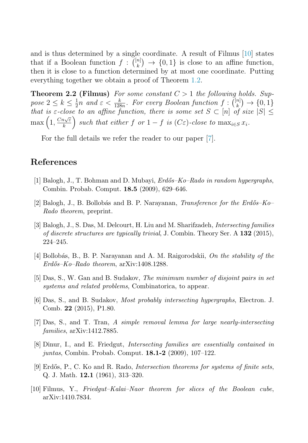<span id="page-5-0"></span>and is thus determined by a single coordinate. A result of Filmus [10] states that if a Boolean function  $f: \binom{[n]}{k} \to \{0,1\}$  is close to an affine function,<br>then it is close to a function determined by at most one coordinate. Putting then it is close to a function determined by at most one coordinate. Putting everything together we obtain a proof of Theorem [1.2.](#page-2-0)

**Theorem 2.2 (Filmus)** For some constant  $C > 1$  the following holds. Suppose  $2 \leq k \leq \frac{1}{2}n$  and  $\varepsilon < \frac{k}{128n}$ . For every Boolean function  $f: \binom{[n]}{k} \to \{0,1\}$ <br>that is  $\varepsilon$ -close to an affine function, there is some set  $S \subset [n]$  of size  $|S|$ that is  $\varepsilon$ -close to an affine function, there is some set  $S \subset [n]$  of size  $|S| \leq$  $\max\left(1, \frac{Cn\sqrt{\varepsilon}}{k}\right)$  such that either f or  $1 - f$  is  $(C\varepsilon)$ -close to  $\max_{i \in S} x_i$ .

For the full details we refer the reader to our paper [7].

## **References**

- [1] Balogh, J., T. Bohman and D. Mubayi,  $Erd\tilde{6s} Ko-Rado$  in random hypergraphs, Combin. Probab. Comput. **18.5** (2009), 629–646.
- [2] Balogh, J., B. Bollobás and B. P. Narayanan, *Transference for the Erdős–Ko–* Rado theorem, preprint.
- [3] Balogh, J., S. Das, M. Delcourt, H. Liu and M. Sharifzadeh, Intersecting families of discrete structures are typically trivial, J. Combin. Theory Ser. A **132** (2015), 224–245.
- [4] Bollobás, B., B. P. Narayanan and A. M. Raigorodskii, On the stability of the  $Erd\H{o}s-Ko-Rado\ theorem,$  arXiv:1408.1288.
- [5] Das, S., W. Gan and B. Sudakov, The minimum number of disjoint pairs in set systems and related problems, Combinatorica, to appear.
- [6] Das, S., and B. Sudakov, Most probably intersecting hypergraphs, Electron. J. Comb. **22** (2015), P1.80.
- [7] Das, S., and T. Tran, A simple removal lemma for large nearly-intersecting families, arXiv:1412.7885.
- [8] Dinur, I., and E. Friedgut, Intersecting families are essentially contained in juntas, Combin. Probab. Comput. **18.1-2** (2009), 107–122.
- $[9]$  Erdős, P., C. Ko and R. Rado, *Intersection theorems for systems of finite sets*, Q. J. Math. **12.1** (1961), 313–320.
- [10] Filmus, Y., Friedgut–Kalai–Naor theorem for slices of the Boolean cube, arXiv:1410.7834.